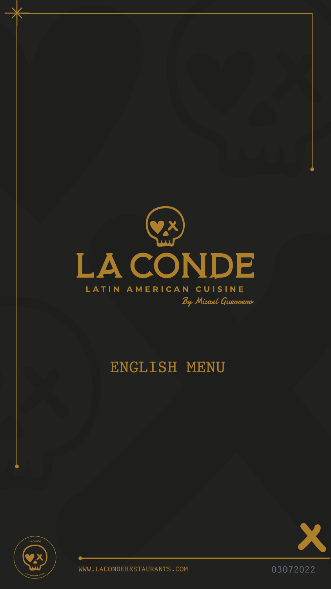

### LATIN AMERICAN CUISINE

By Misael Guenneno

# ENGLISH MENU





### WWW.LACONDERESTAURANTS.COM 03072022

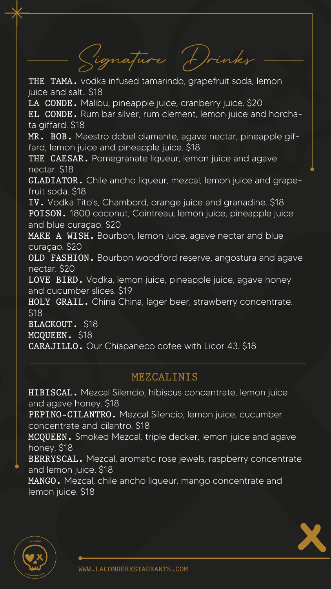### MEZCALINIS

Signature Drinks

THE TAMA. vodka infused tamarindo, grapefruit soda, lemon juice and salt.. \$18

LA CONDE. Malibu, pineapple juice, cranberry juice. \$20

### WWW.LACONDERESTAURANTS.COM

MR. BOB. Maestro dobel diamante, agave nectar, pineapple giffard, lemon juice and pineapple juice. \$18

THE CAESAR. Pomegranate liqueur, lemon juice and agave nectar. \$18

EL CONDE. Rum bar silver, rum clement, lemon juice and horchata giffard. \$18

MAKE A WISH. Bourbon, lemon juice, agave nectar and blue curaçao. \$20

GLADIATOR. Chile ancho liqueur, mezcal, lemon juice and grapefruit soda. \$18

HIBISCAL. Mezcal Silencio, hibiscus concentrate, lemon juice and agave honey. \$18 PEPINO-CILANTRO. Mezcal Silencio, lemon juice, cucumber concentrate and cilantro. \$18 MCQUEEN. Smoked Mezcal, triple decker, lemon juice and agave honey. \$18 BERRYSCAL. Mezcal, aromatic rose jewels, raspberry concentrate and lemon juice. \$18 MANGO. Mezcal, chile ancho liqueur, mango concentrate and lemon juice. \$18





IV. Vodka Tito's, Chambord, orange juice and granadine. \$18 POISON. 1800 coconut, Cointreau, lemon juice, pineapple juice and blue curaçao. \$20

OLD FASHION. Bourbon woodford reserve, angostura and agave nectar. \$20

LOVE BIRD. Vodka, lemon juice, pineapple juice, agave honey and cucumber slices. \$19 HOLY GRAIL. China China, lager beer, strawberry concentrate. \$18 BLACKOUT. \$18 MCQUEEN. \$18 CARAJILLO. Our Chiapaneco cofee with Licor 43. \$18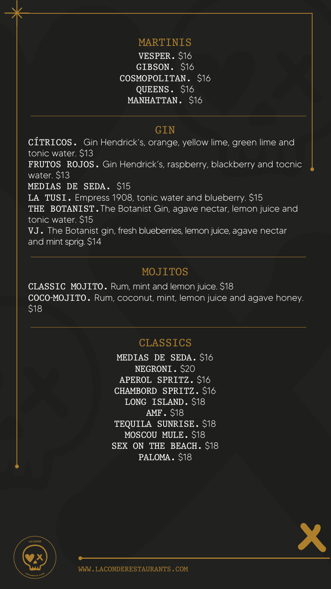## MOJITOS

MEDIAS DE SEDA. \$16 NEGRONI. \$20 APEROL SPRITZ. \$16 CHAMBORD SPRITZ. \$16 LONG ISLAND. \$18 AMF. \$18 TEQUILA SUNRISE. \$18 MOSCOU MULE. \$18 SEX ON THE BEACH. \$18 PALOMA. \$18



### WWW.LACONDERESTAURANTS.COM

**LA CONDE** 



### GIN

VESPER. \$16 GIBSON. \$16 COSMOPOLITAN. \$16 QUEENS. \$16 MANHATTAN. \$16

### CLASSICS

### MARTINIS

CÍTRICOS. Gin Hendrick's, orange, yellow lime, green lime and tonic water. \$13 FRUTOS ROJOS. Gin Hendrick's, raspberry, blackberry and tocnic water. \$13 MEDIAS DE SEDA. \$15 LA TUSI. Empress 1908, tonic water and blueberry. \$15 THE BOTANIST. The Botanist Gin, agave nectar, lemon juice and tonic water. \$15 VJ. The Botanist gin, fresh blueberries, lemon juice, agave nectar and mint sprig. \$14

CLASSIC MOJITO. Rum, mint and lemon juice. \$18 COCO-MOJITO. Rum, coconut, mint, lemon juice and agave honey. \$18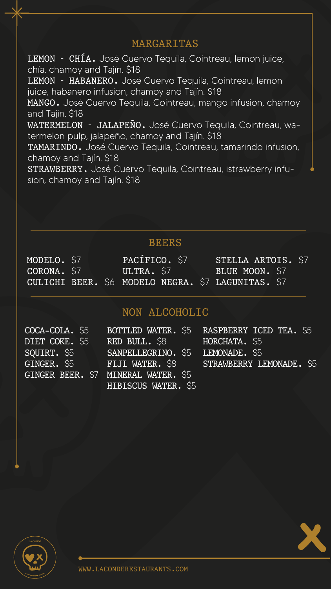### WWW.LACONDERESTAURANTS.COM

### MARGARITAS

### BEERS

### NON ALCOHOLIC

DIET COKE. \$5

LEMON - CHÍA. José Cuervo Tequila, Cointreau, lemon juice, chía, chamoy and Tajín. \$18 LEMON - HABANERO. José Cuervo Tequila, Cointreau, lemon juice, habanero infusion, chamoy and Tajín. \$18 MANGO. José Cuervo Tequila, Cointreau, mango infusion, chamoy and Tajín. \$18 WATERMELON - JALAPEÑO. José Cuervo Tequila, Cointreau, watermelon pulp, jalapeño, chamoy and Tajín. \$18 TAMARINDO. José Cuervo Tequila, Cointreau, tamarindo infusion, chamoy and Tajín. \$18 STRAWBERRY. José Cuervo Tequila, Cointreau, istrawberry infusion, chamoy and Tajín. \$18

COCA-COLA. \$5 BOTTLED WATER. \$5 RASPBERRY ICED TEA. \$5 GINGER. \$5 FIJI WATER. \$8 STRAWBERRY LEMONADE. \$5



SQUIRT. \$5 SANPELLEGRINO. \$5 LEMONADE. \$5 GINGER BEER. \$7 MINERAL WATER. \$5 RED BULL. \$8 HORCHATA. \$5 HIBISCUS WATER. \$5

MODELO. \$7 CORONA. \$7

PACÍFICO. \$7 ULTRA. \$7

STELLA ARTOIS. \$7 BLUE MOON. \$7

CULICHI BEER. \$6 MODELO NEGRA. \$7 LAGUNITAS. \$7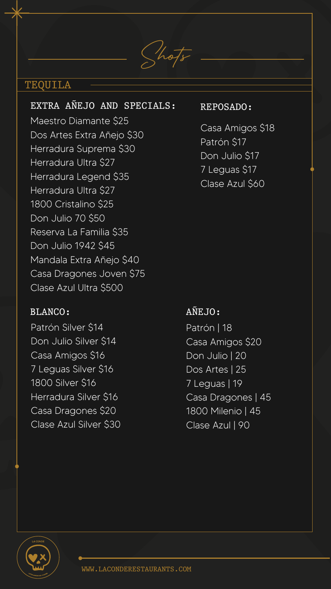### WWW.LACONDERESTAURANTS.COM

# Shots

### TEQUILA

### REPOSADO:

### BLANCO:

Patrón Silver \$14 Don Julio Silver \$14 Casa Amigos \$16 7 Leguas Silver \$16 1800 Silver \$16 Herradura Silver \$16 Casa Dragones \$20 Clase Azul Silver \$30

Patrón | 18 Casa Amigos \$20 Don Julio | 20 Dos Artes | 25 7 Leguas | 19 Casa Dragones | 45 1800 Milenio | 45 Clase Azul | 90



Casa Amigos \$18 Patrón \$17 Don Julio \$17 7 Leguas \$17 Clase Azul \$60

## AÑEJO:

EXTRA AÑEJO AND SPECIALS: Maestro Diamante \$25 Dos Artes Extra Añejo \$30 Herradura Suprema \$30 Herradura Ultra \$27 Herradura Legend \$35 Herradura Ultra \$27 1800 Cristalino \$25 Don Julio 70 \$50 Reserva La Familia \$35 Don Julio 1942 \$45 Mandala Extra Añejo \$40 Casa Dragones Joven \$75

Clase Azul Ultra \$500